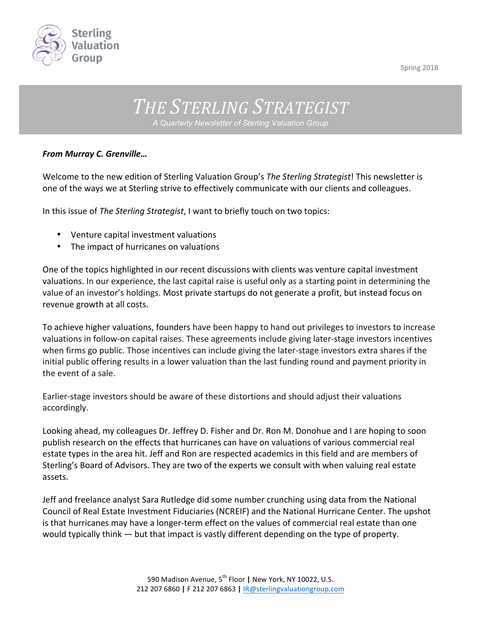

Spring 2018

## THE STERLING STRATEGIST *A Quarterly Newsletter of Sterling Valuation Group*

## *From Murray C. Grenville…*

Welcome to the new edition of Sterling Valuation Group's The Sterling Strategist! This newsletter is one of the ways we at Sterling strive to effectively communicate with our clients and colleagues.

In this issue of *The Sterling Strategist*, I want to briefly touch on two topics:

- Venture capital investment valuations
- The impact of hurricanes on valuations

One of the topics highlighted in our recent discussions with clients was venture capital investment valuations. In our experience, the last capital raise is useful only as a starting point in determining the value of an investor's holdings. Most private startups do not generate a profit, but instead focus on revenue growth at all costs.

To achieve higher valuations, founders have been happy to hand out privileges to investors to increase valuations in follow-on capital raises. These agreements include giving later-stage investors incentives when firms go public. Those incentives can include giving the later-stage investors extra shares if the initial public offering results in a lower valuation than the last funding round and payment priority in the event of a sale.

Earlier-stage investors should be aware of these distortions and should adjust their valuations accordingly. 

Looking ahead, my colleagues Dr. Jeffrey D. Fisher and Dr. Ron M. Donohue and I are hoping to soon publish research on the effects that hurricanes can have on valuations of various commercial real estate types in the area hit. Jeff and Ron are respected academics in this field and are members of Sterling's Board of Advisors. They are two of the experts we consult with when valuing real estate assets.

Jeff and freelance analyst Sara Rutledge did some number crunching using data from the National Council of Real Estate Investment Fiduciaries (NCREIF) and the National Hurricane Center. The upshot is that hurricanes may have a longer-term effect on the values of commercial real estate than one would typically think  $-$  but that impact is vastly different depending on the type of property.